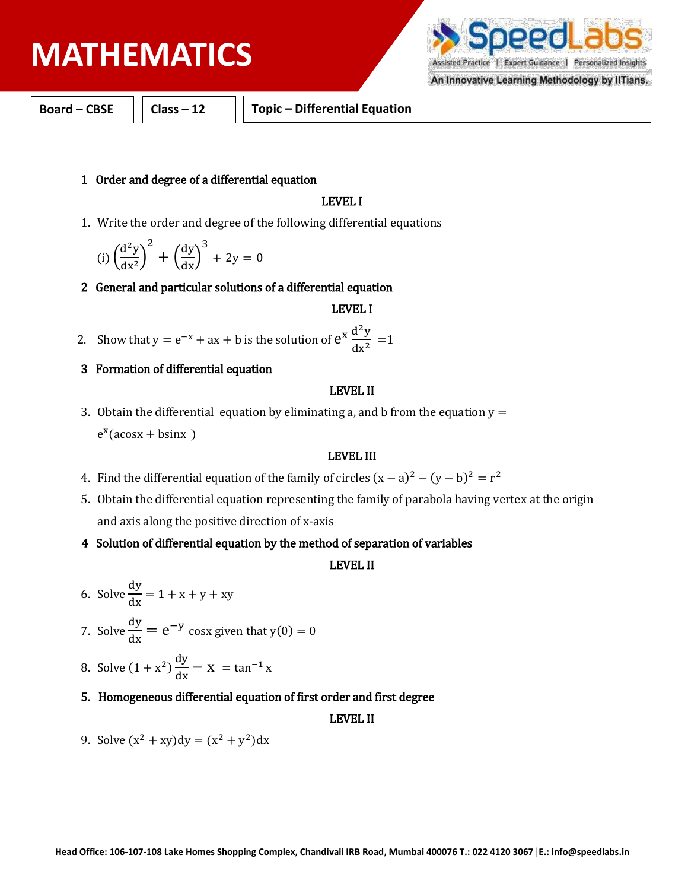# **PHYSICS MATHEMATICS**

Expert Guidance | Personalized Insights

An Innovative Learning Methodology by IITians.

**Board – CBSE Class – 12 Topic – Differential Equation**

### 1 Order and degree of a differential equation

### LEVEL I

1. Write the order and degree of the following differential equations

$$
(i) \left(\frac{d^2y}{dx^2}\right)^2 + \left(\frac{dy}{dx}\right)^3 + 2y = 0
$$

2 General and particular solutions of a differential equation

#### LEVEL I

- 2. Show that  $y = e^{-x} + ax + b$  is the solution of  $e^{x} \frac{d^{2}y}{dx^{2}}$  $\frac{d^2y}{dx^2} = 1$
- 3 Formation of differential equation

#### LEVEL II

3. Obtain the differential equation by eliminating a, and b from the equation  $y =$  $e^x$ (acosx + bsinx)

## LEVEL III

- 4. Find the differential equation of the family of circles  $(x a)^2 (y b)^2 = r^2$
- 5. Obtain the differential equation representing the family of parabola having vertex at the origin and axis along the positive direction of x-axis
- 4 Solution of differential equation by the method of separation of variables

## LEVEL II

- 6. Solve  $\frac{dy}{dx} = 1 + x + y + xy$
- 7. Solve  $\frac{dy}{dx} = e^{-y} \cos x$  given that  $y(0) = 0$
- 8. Solve  $(1 + x^2) \frac{dy}{dx} x = \tan^{-1} x$
- 5. Homogeneous differential equation of first order and first degree

#### LEVEL II

9. Solve  $(x^2 + xy)dy = (x^2 + y^2)dx$